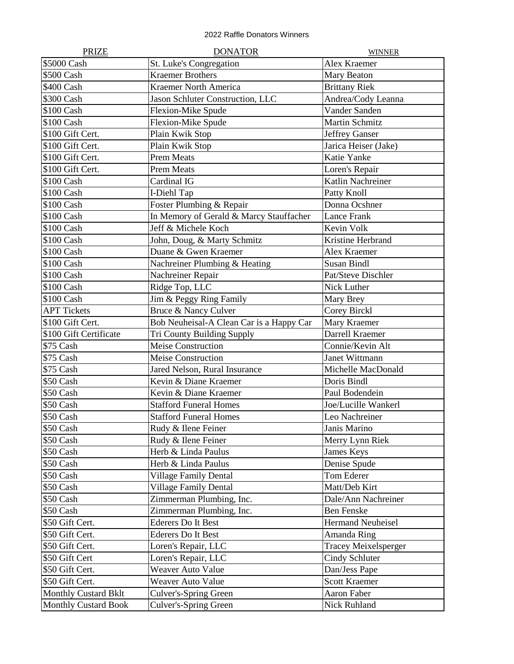| <b>PRIZE</b>                | <b>DONATOR</b>                           | <b>WINNER</b>               |
|-----------------------------|------------------------------------------|-----------------------------|
| \$5000 Cash                 | St. Luke's Congregation                  | Alex Kraemer                |
| \$500 Cash                  | <b>Kraemer Brothers</b>                  | Mary Beaton                 |
| \$400 Cash                  | <b>Kraemer North America</b>             | <b>Brittany Riek</b>        |
| \$300 Cash                  | Jason Schluter Construction, LLC         | Andrea/Cody Leanna          |
| \$100 Cash                  | Flexion-Mike Spude                       | Vander Sanden               |
| \$100 Cash                  | Flexion-Mike Spude                       | <b>Martin Schmitz</b>       |
| \$100 Gift Cert.            | Plain Kwik Stop                          | <b>Jeffrey Ganser</b>       |
| \$100 Gift Cert.            | Plain Kwik Stop                          | Jarica Heiser (Jake)        |
| \$100 Gift Cert.            | <b>Prem Meats</b>                        | Katie Yanke                 |
| \$100 Gift Cert.            | <b>Prem Meats</b>                        | Loren's Repair              |
| \$100 Cash                  | Cardinal IG                              | Katlin Nachreiner           |
| \$100 Cash                  | I-Diehl Tap                              | Patty Knoll                 |
| \$100 Cash                  | Foster Plumbing & Repair                 | Donna Ocshner               |
| \$100 Cash                  | In Memory of Gerald & Marcy Stauffacher  | Lance Frank                 |
| \$100 Cash                  | Jeff & Michele Koch                      | Kevin Volk                  |
| \$100 Cash                  | John, Doug, & Marty Schmitz              | Kristine Herbrand           |
| \$100 Cash                  | Duane & Gwen Kraemer                     | Alex Kraemer                |
| \$100 Cash                  | Nachreiner Plumbing & Heating            | <b>Susan Bindl</b>          |
| \$100 Cash                  | Nachreiner Repair                        | Pat/Steve Dischler          |
| \$100 Cash                  | Ridge Top, LLC                           | Nick Luther                 |
| \$100 Cash                  | Jim & Peggy Ring Family                  | Mary Brey                   |
| <b>APT Tickets</b>          | Bruce & Nancy Culver                     | Corey Birckl                |
| \$100 Gift Cert.            | Bob Neuheisal-A Clean Car is a Happy Car | Mary Kraemer                |
| \$100 Gift Certificate      | Tri County Building Supply               | Darrell Kraemer             |
| \$75 Cash                   | <b>Meise Construction</b>                | Connie/Kevin Alt            |
| \$75 Cash                   | <b>Meise Construction</b>                | Janet Wittmann              |
| \$75 Cash                   | Jared Nelson, Rural Insurance            | Michelle MacDonald          |
| \$50 Cash                   | Kevin & Diane Kraemer                    | Doris Bindl                 |
| \$50 Cash                   | Kevin & Diane Kraemer                    | Paul Bodendein              |
| \$50 Cash                   | <b>Stafford Funeral Homes</b>            | Joe/Lucille Wankerl         |
| \$50 Cash                   | <b>Stafford Funeral Homes</b>            | Leo Nachreiner              |
| \$50 Cash                   | Rudy & Ilene Feiner                      | Janis Marino                |
| \$50 Cash                   | Rudy & Ilene Feiner                      | Merry Lynn Riek             |
| \$50 Cash                   | Herb & Linda Paulus                      | James Keys                  |
| \$50 Cash                   | Herb & Linda Paulus                      | Denise Spude                |
| \$50 Cash                   | <b>Village Family Dental</b>             | Tom Ederer                  |
| \$50 Cash                   | <b>Village Family Dental</b>             | Matt/Deb Kirt               |
| \$50 Cash                   | Zimmerman Plumbing, Inc.                 | Dale/Ann Nachreiner         |
| \$50 Cash                   | Zimmerman Plumbing, Inc.                 | <b>Ben Fenske</b>           |
| \$50 Gift Cert.             | <b>Ederers Do It Best</b>                | <b>Hermand Neuheisel</b>    |
| \$50 Gift Cert.             | <b>Ederers Do It Best</b>                | Amanda Ring                 |
| \$50 Gift Cert.             | Loren's Repair, LLC                      | <b>Tracey Meixelsperger</b> |
| \$50 Gift Cert              | Loren's Repair, LLC                      | Cindy Schluter              |
| \$50 Gift Cert.             | Weaver Auto Value                        | Dan/Jess Pape               |
| \$50 Gift Cert.             | Weaver Auto Value                        | <b>Scott Kraemer</b>        |
| <b>Monthly Custard Bklt</b> | Culver's-Spring Green                    | Aaron Faber                 |
| <b>Monthly Custard Book</b> | Culver's-Spring Green                    | Nick Ruhland                |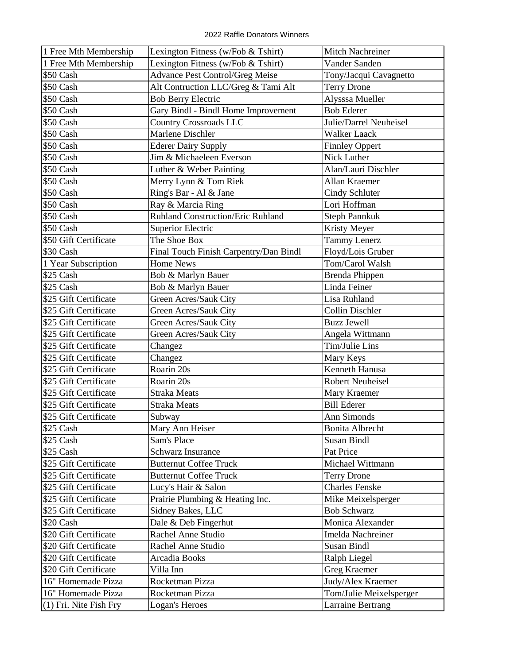| 1 Free Mth Membership  | Lexington Fitness (w/Fob & Tshirt)     | <b>Mitch Nachreiner</b> |
|------------------------|----------------------------------------|-------------------------|
| 1 Free Mth Membership  | Lexington Fitness (w/Fob & Tshirt)     | Vander Sanden           |
| \$50 Cash              | <b>Advance Pest Control/Greg Meise</b> | Tony/Jacqui Cavagnetto  |
| \$50 Cash              | Alt Contruction LLC/Greg & Tami Alt    | <b>Terry Drone</b>      |
| \$50 Cash              | <b>Bob Berry Electric</b>              | Alysssa Mueller         |
| \$50 Cash              | Gary Bindl - Bindl Home Improvement    | <b>Bob Ederer</b>       |
| \$50 Cash              | <b>Country Crossroads LLC</b>          | Julie/Darrel Neuheisel  |
| \$50 Cash              | Marlene Dischler                       | <b>Walker Laack</b>     |
| \$50 Cash              | <b>Ederer Dairy Supply</b>             | <b>Finnley Oppert</b>   |
| \$50 Cash              | Jim & Michaeleen Everson               | Nick Luther             |
| \$50 Cash              | Luther & Weber Painting                | Alan/Lauri Dischler     |
| \$50 Cash              | Merry Lynn & Tom Riek                  | Allan Kraemer           |
| \$50 Cash              | Ring's Bar - Al & Jane                 | <b>Cindy Schluter</b>   |
| \$50 Cash              | Ray & Marcia Ring                      | Lori Hoffman            |
| \$50 Cash              | Ruhland Construction/Eric Ruhland      | <b>Steph Pannkuk</b>    |
| \$50 Cash              | <b>Superior Electric</b>               | Kristy Meyer            |
| \$50 Gift Certificate  | The Shoe Box                           | <b>Tammy Lenerz</b>     |
| \$30 Cash              | Final Touch Finish Carpentry/Dan Bindl | Floyd/Lois Gruber       |
| 1 Year Subscription    | <b>Home News</b>                       | Tom/Carol Walsh         |
| \$25 Cash              | Bob & Marlyn Bauer                     | <b>Brenda Phippen</b>   |
| \$25 Cash              | Bob & Marlyn Bauer                     | Linda Feiner            |
| \$25 Gift Certificate  | Green Acres/Sauk City                  | Lisa Ruhland            |
| \$25 Gift Certificate  | Green Acres/Sauk City                  | <b>Collin Dischler</b>  |
| \$25 Gift Certificate  | Green Acres/Sauk City                  | <b>Buzz Jewell</b>      |
| \$25 Gift Certificate  | Green Acres/Sauk City                  | Angela Wittmann         |
| \$25 Gift Certificate  | Changez                                | Tim/Julie Lins          |
| \$25 Gift Certificate  | Changez                                | Mary Keys               |
| \$25 Gift Certificate  | Roarin 20s                             | Kenneth Hanusa          |
| \$25 Gift Certificate  | Roarin 20s                             | <b>Robert Neuheisel</b> |
| \$25 Gift Certificate  | <b>Straka Meats</b>                    | Mary Kraemer            |
| \$25 Gift Certificate  | <b>Straka Meats</b>                    | <b>Bill Ederer</b>      |
| \$25 Gift Certificate  | Subway                                 | Ann Simonds             |
| \$25 Cash              | Mary Ann Heiser                        | <b>Bonita Albrecht</b>  |
| \$25 Cash              | Sam's Place                            | <b>Susan Bindl</b>      |
| \$25 Cash              | Schwarz Insurance                      | Pat Price               |
| \$25 Gift Certificate  | <b>Butternut Coffee Truck</b>          | Michael Wittmann        |
| \$25 Gift Certificate  | <b>Butternut Coffee Truck</b>          | <b>Terry Drone</b>      |
| \$25 Gift Certificate  | Lucy's Hair & Salon                    | <b>Charles Fenske</b>   |
| \$25 Gift Certificate  | Prairie Plumbing & Heating Inc.        | Mike Meixelsperger      |
| \$25 Gift Certificate  | Sidney Bakes, LLC                      | <b>Bob Schwarz</b>      |
| \$20 Cash              | Dale & Deb Fingerhut                   | Monica Alexander        |
| \$20 Gift Certificate  | Rachel Anne Studio                     | Imelda Nachreiner       |
| \$20 Gift Certificate  | Rachel Anne Studio                     | <b>Susan Bindl</b>      |
| \$20 Gift Certificate  | Arcadia Books                          | Ralph Liegel            |
| \$20 Gift Certificate  | Villa Inn                              | <b>Greg Kraemer</b>     |
| 16" Homemade Pizza     | Rocketman Pizza                        | Judy/Alex Kraemer       |
| 16" Homemade Pizza     | Rocketman Pizza                        | Tom/Julie Meixelsperger |
| (1) Fri. Nite Fish Fry | Logan's Heroes                         | Larraine Bertrang       |